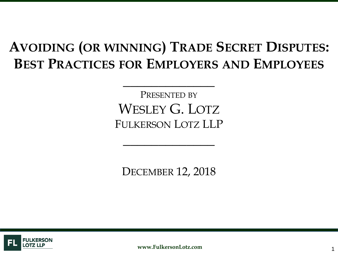#### **AVOIDING (OR WINNING) TRADE SECRET DISPUTES: BEST PRACTICES FOR EMPLOYERS AND EMPLOYEES**

PRESENTED BY WESLEY G. LOTZ FULKERSON LOTZ LLP

 $\frac{1}{2}$  ,  $\frac{1}{2}$  ,  $\frac{1}{2}$  ,  $\frac{1}{2}$  ,  $\frac{1}{2}$  ,  $\frac{1}{2}$  ,  $\frac{1}{2}$  ,  $\frac{1}{2}$ 

 $\frac{1}{2}$  ,  $\frac{1}{2}$  ,  $\frac{1}{2}$  ,  $\frac{1}{2}$  ,  $\frac{1}{2}$  ,  $\frac{1}{2}$  ,  $\frac{1}{2}$  ,  $\frac{1}{2}$ 

DECEMBER 12, 2018



**www.FulkersonLotz.com** 1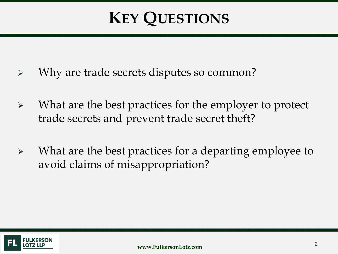## **KEY QUESTIONS**

- Why are trade secrets disputes so common?
- $\triangleright$  What are the best practices for the employer to protect trade secrets and prevent trade secret theft?
- What are the best practices for a departing employee to avoid claims of misappropriation?

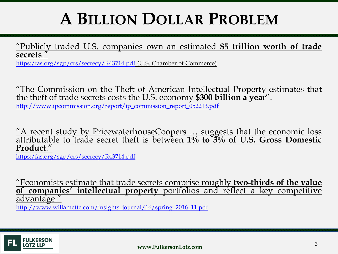## **A BILLION DOLLAR PROBLEM**

"Publicly traded U.S. companies own an estimated **\$5 trillion worth of trade secrets**."

[https:/fas.org/sgp/crs/secrecy/R43714.pdf](https://fas.org/sgp/crs/secrecy/R43714.pdf) (U.S. Chamber of Commerce)

"The Commission on the Theft of American Intellectual Property estimates that the theft of trade secrets costs the U.S. economy **\$300 billion a year**". [http://www.ipcommission.org/report/ip\\_commission\\_report\\_052213.pdf](http://www.ipcommission.org/report/ip_commission_report_052213.pdf)

"A recent study by PricewaterhouseCoopers … suggests that the economic loss attributable to trade secret theft is between **1% to 3% of U.S. Gross Domestic Product**."

[https:/fas.org/sgp/crs/secrecy/R43714.pdf](https://fas.org/sgp/crs/secrecy/R43714.pdf)

"Economists estimate that trade secrets comprise roughly **two-thirds of the value of companies' intellectual property** portfolios and reflect <sup>a</sup> key competitive advantage."

[http://www.willamette.com/insights\\_journal/16/spring\\_2016\\_11.pdf](http://www.willamette.com/insights_journal/16/spring_2016_11.pdf)

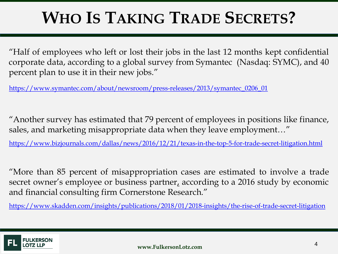# **WHO IS TAKING TRADE SECRETS?**

"Half of employees who left or lost their jobs in the last 12 months kept confidential corporate data, according to a global survey from Symantec (Nasdaq: SYMC), and 40 percent plan to use it in their new jobs."

https://www.symantec.com/about/newsroom/press-releases/2013/symantec\_0206\_01

"Another survey has estimated that 79 percent of employees in positions like finance, sales, and marketing misappropriate data when they leave employment…"

<https://www.bizjournals.com/dallas/news/2016/12/21/texas-in-the-top-5-for-trade-secret-litigation.html>

"More than 85 percent of misappropriation cases are estimated to involve a trade secret owner's employee or business partner<sub> $\lambda$ </sub> according to a 2016 study by economic and financial consulting firm Cornerstone Research."

<https://www.skadden.com/insights/publications/2018/01/2018-insights/the-rise-of-trade-secret-litigation>

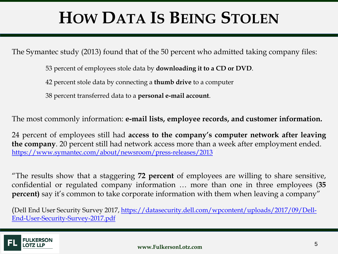## **HOW DATA IS BEING STOLEN**

The Symantec study (2013) found that of the 50 percent who admitted taking company files:

53 percent of employees stole data by **downloading it to a CD or DVD**.

42 percent stole data by connecting a **thumb drive** to a computer

38 percent transferred data to a **personal e-mail account**.

The most commonly information: **e-mail lists, employee records, and customer information.**

24 percent of employees still had **access to the company's computer network after leaving the company**. 20 percent still had network access more than a week after employment ended. https://www.symantec.com/about/newsroom/press-releases/2013/

"The results show that a staggering **72 percent** of employees are willing to share sensitive, confidential or regulated company information … more than one in three employees (**35 percent**) say it's common to take corporate information with them when leaving a company"

[\(Dell End User Security Survey 2017, https://datasecurity.dell.com/wpcontent/uploads/2017/09/Dell-](https://datasecurity.dell.com/wp-content/uploads/2017/09/Dell-End-User-Security-Survey-2017.pdf)End-User-Security-Survey-2017.pdf

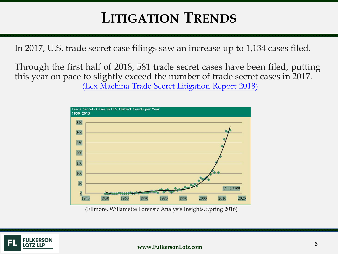#### **LITIGATION TRENDS**

In 2017, U.S. trade secret case filings saw an increase up to 1,134 cases filed.

Through the first half of 2018, 581 trade secret cases have been filed, putting this year on pace to slightly exceed the number of trade secret cases in 2017.

(Lex Machina Trade Secret Litigation Report 2018)



(Ellmore, Willamette Forensic Analysis Insights, Spring 2016)

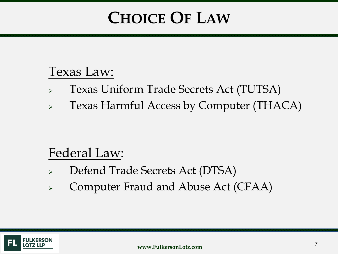## **CHOICE OF LAW**

#### Texas Law:

- Texas Uniform Trade Secrets Act (TUTSA)
- Texas Harmful Access by Computer (THACA)

#### Federal Law:

- Defend Trade Secrets Act (DTSA)
- Computer Fraud and Abuse Act (CFAA)

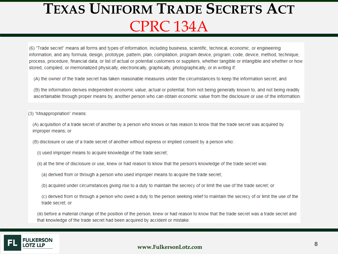### **TEXAS UNIFORM TRADE SECRETS ACT** CPRC 134A

(6) "Trade secret" means all forms and types of information, including business, scientific, technical, economic, or engineering information, and any formula, design, prototype, pattern, plan, compilation, program device, program, code, device, method, technique, process, procedure, financial data, or list of actual or potential customers or suppliers, whether tangible or intangible and whether or how stored, compiled, or memorialized physically, electronically, graphically, photographically, or in writing if:

(A) the owner of the trade secret has taken reasonable measures under the circumstances to keep the information secret; and

(B) the information derives independent economic value, actual or potential, from not being generally known to, and not being readily ascertainable through proper means by, another person who can obtain economic value from the disclosure or use of the information.

(3) "Misappropriation" means:

(A) acquisition of a trade secret of another by a person who knows or has reason to know that the trade secret was acquired by improper means; or

(B) disclosure or use of a trade secret of another without express or implied consent by a person who:

- (i) used improper means to acquire knowledge of the trade secret;
- (ii) at the time of disclosure or use, knew or had reason to know that the person's knowledge of the trade secret was:
	- (a) derived from or through a person who used improper means to acquire the trade secret;
	- (b) acquired under circumstances giving rise to a duty to maintain the secrecy of or limit the use of the trade secret; or

(c) derived from or through a person who owed a duty to the person seeking relief to maintain the secrecy of or limit the use of the trade secret; or

(iii) before a material change of the position of the person, knew or had reason to know that the trade secret was a trade secret and that knowledge of the trade secret had been acquired by accident or mistake.



#### **www.FulkersonLotz.com** <sup>8</sup>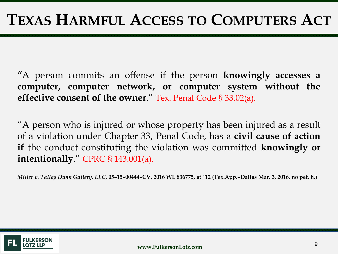**"**A person commits an offense if the person **knowingly accesses a computer, computer network, or computer system without the effective consent of the owner**." Tex. Penal Code § 33.02(a).

"A person who is injured or whose property has been injured as a result of a violation under Chapter 33, Penal Code, has a **civil cause of action if** the conduct constituting the violation was committed **knowingly or intentionally**." CPRC § 143.001(a).

*Miller v. Talley Dunn Gallery, LLC***[, 05–15–00444–CV, 2016 WL 836775, at \\*12 \(Tex.App.–Dallas Mar. 3, 2016, no pet. h.\)](https://1.next.westlaw.com/Link/Document/FullText?findType=Y&serNum=2038403263&pubNum=0000999&originatingDoc=I1a6b9cf0650911e6b63ccfe393a33906&refType=RP&originationContext=document&transitionType=DocumentItem&contextData=(sc.Search))**

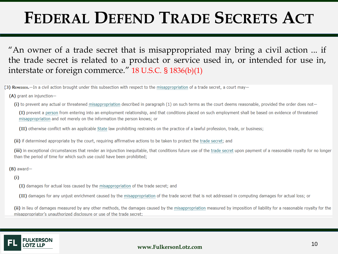## **FEDERAL DEFEND TRADE SECRETS ACT**

"An owner of a trade secret that is misappropriated may bring a civil action ... if the trade secret is related to a product or service used in, or intended for use in, interstate or foreign commerce." 18 U.S.C. § 1836(b)(1)

(3) REMEDIES.-In a civil action brought under this subsection with respect to the misappropriation of a trade secret, a court may-

(A) grant an injunction-

(i) to prevent any actual or threatened misappropriation described in paragraph (1) on such terms as the court deems reasonable, provided the order does not-

(I) prevent a person from entering into an employment relationship, and that conditions placed on such employment shall be based on evidence of threatened misappropriation and not merely on the information the person knows; or

(II) otherwise conflict with an applicable State law prohibiting restraints on the practice of a lawful profession, trade, or business;

(ii) if determined appropriate by the court, requiring affirmative actions to be taken to protect the trade secret; and

(iii) in exceptional circumstances that render an injunction inequitable, that conditions future use of the trade secret upon payment of a reasonable royalty for no longer than the period of time for which such use could have been prohibited;

 $(B)$  award-

 $(i)$ 

(I) damages for actual loss caused by the misappropriation of the trade secret; and

(II) damages for any unjust enrichment caused by the misappropriation of the trade secret that is not addressed in computing damages for actual loss; or

(ii) in lieu of damages measured by any other methods, the damages caused by the misappropriation measured by imposition of liability for a reasonable royalty for the misappropriator's unauthorized disclosure or use of the trade secret:



#### **www.FulkersonLotz.com**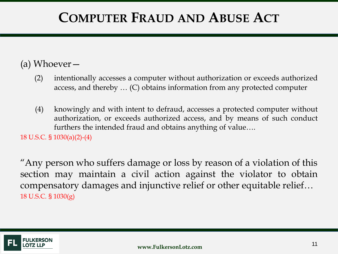#### **COMPUTER FRAUD AND ABUSE ACT**

#### (a) Whoever—

- (2) intentionally accesses a computer without authorization or exceeds authorized access, and thereby … (C) obtains information from any protected computer
- (4) knowingly and with intent to defraud, accesses a protected computer without authorization, or exceeds authorized access, and by means of such conduct furthers the intended fraud and obtains anything of value…. 18 U.S.C. § 1030(a)(2)-(4)

"Any person who suffers damage or loss by reason of a violation of this section may maintain a civil action against the violator to obtain compensatory damages and injunctive relief or other equitable relief… 18 U.S.C. § 1030(g)

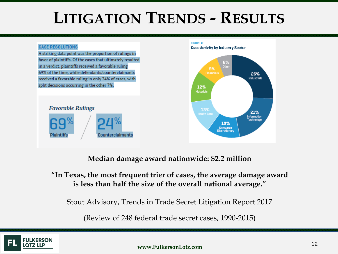## **LITIGATION TRENDS - RESULTS**



**Median damage award nationwide: \$2.2 million**

#### **"In Texas, the most frequent trier of cases, the average damage award is less than half the size of the overall national average."**

Stout Advisory, Trends in Trade Secret Litigation Report 2017

(Review of 248 federal trade secret cases, 1990-2015)

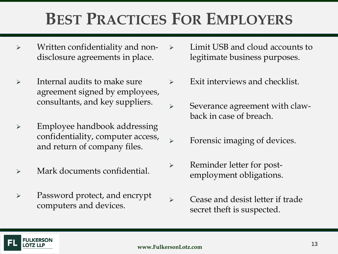# **BEST PRACTICES FOR EMPLOYERS**

- $\triangleright$  Written confidentiality and nondisclosure agreements in place.
- $\triangleright$  Internal audits to make sure agreement signed by employees, consultants, and key suppliers.
- $\triangleright$  Employee handbook addressing confidentiality, computer access, and return of company files.
- > Mark documents confidential.
- Password protect, and encrypt computers and devices.
- $\triangleright$  Limit USB and cloud accounts to legitimate business purposes.
- $\triangleright$  Exit interviews and checklist.
- $\triangleright$  Severance agreement with clawback in case of breach.
- $\triangleright$  Forensic imaging of devices.
- Reminder letter for postemployment obligations.
- $\triangleright$  Cease and desist letter if trade secret theft is suspected.

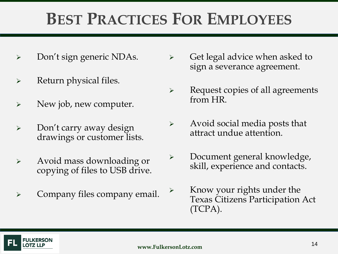# **BEST PRACTICES FOR EMPLOYEES**

- Don't sign generic NDAs.
- $\triangleright$  Return physical files.
- $\triangleright$  New job, new computer.
- Don't carry away design drawings or customer lists.
- Avoid mass downloading or copying of files to USB drive.
- $\triangleright$  Company files company email.
- $\triangleright$  Get legal advice when asked to sign a severance agreement.
- $\triangleright$  Request copies of all agreements from HR.
- Avoid social media posts that attract undue attention.
- Document general knowledge, skill, experience and contacts.
- $\triangleright$  Know your rights under the Texas Citizens Participation Act (TCPA).

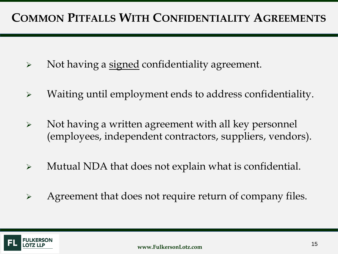#### **COMMON PITFALLS WITH CONFIDENTIALITY AGREEMENTS**

- $\triangleright$  Not having a signed confidentiality agreement.
- Waiting until employment ends to address confidentiality.
- $\triangleright$  Not having a written agreement with all key personnel (employees, independent contractors, suppliers, vendors).
- $\triangleright$  Mutual NDA that does not explain what is confidential.
- $\triangleright$  Agreement that does not require return of company files.

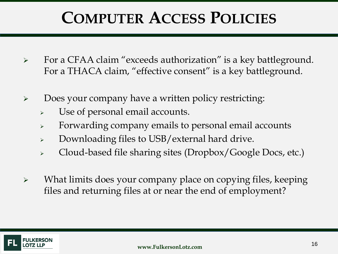## **COMPUTER ACCESS POLICIES**

- For a CFAA claim "exceeds authorization" is a key battleground. For a THACA claim, "effective consent" is a key battleground.
- Does your company have a written policy restricting:
	- Use of personal email accounts.
	- Forwarding company emails to personal email accounts
	- Downloading files to USB/external hard drive.
	- Cloud-based file sharing sites (Dropbox/Google Docs, etc.)
- What limits does your company place on copying files, keeping files and returning files at or near the end of employment?

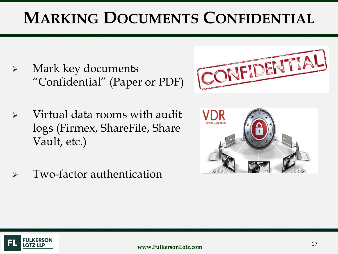# **MARKING DOCUMENTS CONFIDENTIAL**

- Mark key documents "Confidential" (Paper or PDF)
- $\triangleright$  Virtual data rooms with audit logs (Firmex, ShareFile, Share Vault, etc.)
- Two-factor authentication





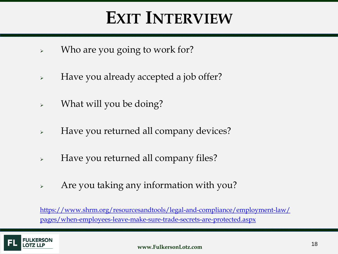## **EXIT INTERVIEW**

- Who are you going to work for?
- Have you already accepted a job offer?
- What will you be doing?
- > Have you returned all company devices?
- Have you returned all company files?
- Are you taking any information with you?

[https://www.shrm.org/resourcesandtools/legal-and-compliance/employment-law/](https://www.shrm.org/resourcesandtools/legal-and-compliance/employment-law/pages/when-employees-leave-make-sure-trade-secrets-are-protected.aspx) [pages/when-employees-leave-make-sure-trade-secrets-are-protected.aspx](https://www.shrm.org/resourcesandtools/legal-and-compliance/employment-law/pages/when-employees-leave-make-sure-trade-secrets-are-protected.aspx)

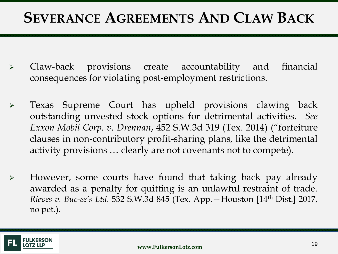#### **SEVERANCE AGREEMENTS AND CLAW BACK**

- Claw-back provisions create accountability and financial consequences for violating post-employment restrictions.
- Texas Supreme Court has upheld provisions clawing back outstanding unvested stock options for detrimental activities*. See Exxon Mobil Corp. v. Drennan*, 452 S.W.3d 319 (Tex. 2014) ("forfeiture clauses in non-contributory profit-sharing plans, like the detrimental activity provisions … clearly are not covenants not to compete).
- However, some courts have found that taking back pay already awarded as a penalty for quitting is an unlawful restraint of trade. *Rieves v. Buc-ee's Ltd*. 532 S.W.3d 845 (Tex. App.—Houston [14th Dist.] 2017, no pet.).

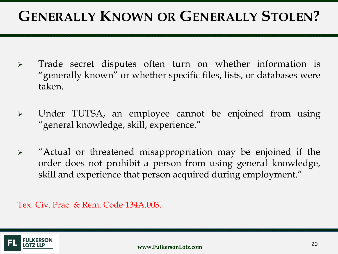#### **GENERALLY KNOWN OR GENERALLY STOLEN?**

- Trade secret disputes often turn on whether information is "generally known" or whether specific files, lists, or databases were taken.
- Under TUTSA, an employee cannot be enjoined from using "general knowledge, skill, experience."
- "Actual or threatened misappropriation may be enjoined if the order does not prohibit a person from using general knowledge, skill and experience that person acquired during employment."

Tex. Civ. Prac. & Rem. Code 134A.003.

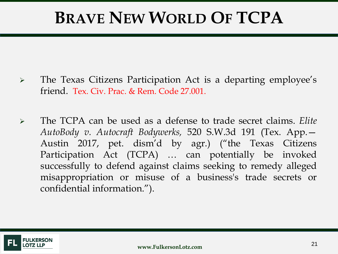## **BRAVE NEW WORLD OF TCPA**

- The Texas Citizens Participation Act is a departing employee's friend. Tex. Civ. Prac. & Rem. Code 27.001.
- The TCPA can be used as a defense to trade secret claims. *Elite AutoBody v. Autocraft Bodywerks,* 520 S.W.3d 191 (Tex. App.— Austin 2017, pet. dism'd by agr.) ("the Texas Citizens Participation Act (TCPA) … can potentially be invoked successfully to defend against claims seeking to remedy alleged misappropriation or misuse of a business's trade secrets or confidential information.").

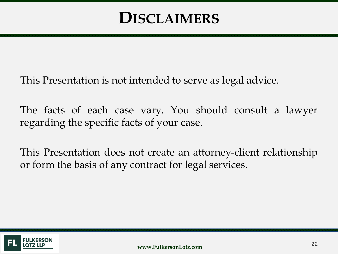#### **DISCLAIMERS**

This Presentation is not intended to serve as legal advice.

The facts of each case vary. You should consult a lawyer regarding the specific facts of your case.

This Presentation does not create an attorney-client relationship or form the basis of any contract for legal services.